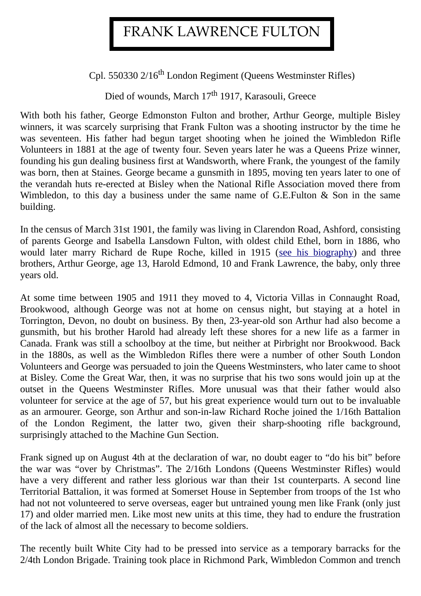## FRANK LAWRENCE FULTON

Cpl. 550330 2/16<sup>th</sup> London Regiment (Queens Westminster Rifles)

Died of wounds, March 17<sup>th</sup> 1917, Karasouli, Greece

With both his father, George Edmonston Fulton and brother, Arthur George, multiple Bisley winners, it was scarcely surprising that Frank Fulton was a shooting instructor by the time he was seventeen. His father had begun target shooting when he joined the Wimbledon Rifle Volunteers in 1881 at the age of twenty four. Seven years later he was a Queens Prize winner, founding his gun dealing business first at Wandsworth, where Frank, the youngest of the family was born, then at Staines. George became a gunsmith in 1895, moving ten years later to one of the verandah huts re-erected at Bisley when the National Rifle Association moved there from Wimbledon, to this day a business under the same name of G.E.Fulton & Son in the same building.

In the census of March 31st 1901, the family was living in Clarendon Road, Ashford, consisting of parents George and Isabella Lansdown Fulton, with oldest child Ethel, born in 1886, who would later marry Richard de Rupe Roche, killed in 1915 [\(see his biography\)](http://www.pirbright.info/WW1/Roche.htm) and three brothers, Arthur George, age 13, Harold Edmond, 10 and Frank Lawrence, the baby, only three years old.

At some time between 1905 and 1911 they moved to 4, Victoria Villas in Connaught Road, Brookwood, although George was not at home on census night, but staying at a hotel in Torrington, Devon, no doubt on business. By then, 23-year-old son Arthur had also become a gunsmith, but his brother Harold had already left these shores for a new life as a farmer in Canada. Frank was still a schoolboy at the time, but neither at Pirbright nor Brookwood. Back in the 1880s, as well as the Wimbledon Rifles there were a number of other South London Volunteers and George was persuaded to join the Queens Westminsters, who later came to shoot at Bisley. Come the Great War, then, it was no surprise that his two sons would join up at the outset in the Queens Westminster Rifles. More unusual was that their father would also volunteer for service at the age of 57, but his great experience would turn out to be invaluable as an armourer. George, son Arthur and son-in-law Richard Roche joined the 1/16th Battalion of the London Regiment, the latter two, given their sharp-shooting rifle background, surprisingly attached to the Machine Gun Section.

Frank signed up on August 4th at the declaration of war, no doubt eager to "do his bit" before the war was "over by Christmas". The 2/16th Londons (Queens Westminster Rifles) would have a very different and rather less glorious war than their 1st counterparts. A second line Territorial Battalion, it was formed at Somerset House in September from troops of the 1st who had not not volunteered to serve overseas, eager but untrained young men like Frank (only just 17) and older married men. Like most new units at this time, they had to endure the frustration of the lack of almost all the necessary to become soldiers.

The recently built White City had to be pressed into service as a temporary barracks for the 2/4th London Brigade. Training took place in Richmond Park, Wimbledon Common and trench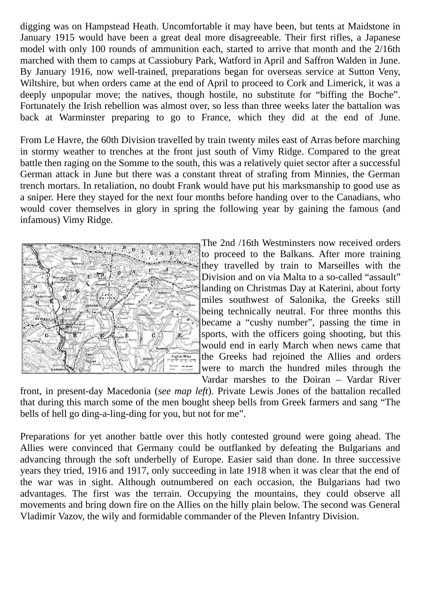digging was on Hampstead Heath. Uncomfortable it may have been, but tents at Maidstone in January 1915 would have been a great deal more disagreeable. Their first rifles, a Japanese model with only 100 rounds of ammunition each, started to arrive that month and the 2/16th marched with them to camps at Cassiobury Park, Watford in April and Saffron Walden in June. By January 1916, now well-trained, preparations began for overseas service at Sutton Veny, Wiltshire, but when orders came at the end of April to proceed to Cork and Limerick, it was a deeply unpopular move; the natives, though hostile, no substitute for "biffing the Boche". Fortunately the Irish rebellion was almost over, so less than three weeks later the battalion was back at Warminster preparing to go to France, which they did at the end of June.

From Le Havre, the 60th Division travelled by train twenty miles east of Arras before marching in stormy weather to trenches at the front just south of Vimy Ridge. Compared to the great battle then raging on the Somme to the south, this was a relatively quiet sector after a successful German attack in June but there was a constant threat of strafing from Minnies, the German trench mortars. In retaliation, no doubt Frank would have put his marksmanship to good use as a sniper. Here they stayed for the next four months before handing over to the Canadians, who would cover themselves in glory in spring the following year by gaining the famous (and infamous) Vimy Ridge.



The 2nd /16th Westminsters now received orders to proceed to the Balkans. After more training they travelled by train to Marseilles with the Division and on via Malta to a so-called "assault" landing on Christmas Day at Katerini, about forty miles southwest of Salonika, the Greeks still being technically neutral. For three months this became a "cushy number", passing the time in sports, with the officers going shooting, but this would end in early March when news came that the Greeks had rejoined the Allies and orders were to march the hundred miles through the Vardar marshes to the Doiran – Vardar River

front, in present-day Macedonia (*see map left*). Private Lewis Jones of the battalion recalled that during this march some of the men bought sheep bells from Greek farmers and sang "The bells of hell go ding-a-ling-ding for you, but not for me".

Preparations for yet another battle over this hotly contested ground were going ahead. The Allies were convinced that Germany could be outflanked by defeating the Bulgarians and advancing through the soft underbelly of Europe. Easier said than done. In three successive years they tried, 1916 and 1917, only succeeding in late 1918 when it was clear that the end of the war was in sight. Although outnumbered on each occasion, the Bulgarians had two advantages. The first was the terrain. Occupying the mountains, they could observe all movements and bring down fire on the Allies on the hilly plain below. The second was General Vladimir Vazov, the wily and formidable commander of the Pleven Infantry Division.